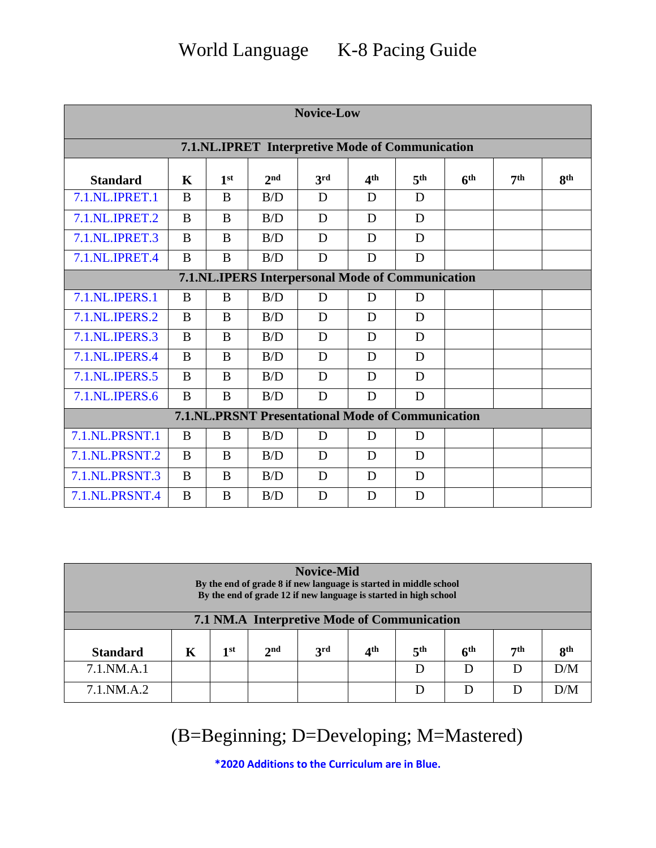| <b>Novice-Low</b>                                |                                                          |                 |                 |     |                 |                 |                 |                 |                 |  |
|--------------------------------------------------|----------------------------------------------------------|-----------------|-----------------|-----|-----------------|-----------------|-----------------|-----------------|-----------------|--|
| 7.1.NL.IPRET Interpretive Mode of Communication  |                                                          |                 |                 |     |                 |                 |                 |                 |                 |  |
| <b>Standard</b>                                  | $\mathbf K$                                              | 1 <sup>st</sup> | 2 <sub>nd</sub> | 3rd | 4 <sup>th</sup> | 5 <sup>th</sup> | 6 <sup>th</sup> | 7 <sup>th</sup> | 8 <sup>th</sup> |  |
| 7.1.NL.IPRET.1                                   | B                                                        | B               | B/D             | D   | D               | D               |                 |                 |                 |  |
| 7.1.NL.IPRET.2                                   | B                                                        | B               | B/D             | D   | D               | D               |                 |                 |                 |  |
| 7.1.NL.IPRET.3                                   | B                                                        | B               | B/D             | D   | D               | D               |                 |                 |                 |  |
| 7.1.NL.IPRET.4                                   | B                                                        | B               | B/D             | D   | D               | D               |                 |                 |                 |  |
| 7.1.NL.IPERS Interpersonal Mode of Communication |                                                          |                 |                 |     |                 |                 |                 |                 |                 |  |
| 7.1.NL.IPERS.1                                   | B                                                        | B               | B/D             | D   | D               | D               |                 |                 |                 |  |
| 7.1.NL.IPERS.2                                   | B                                                        | B               | B/D             | D   | D               | D               |                 |                 |                 |  |
| 7.1.NL.IPERS.3                                   | B                                                        | B               | B/D             | D   | D               | D               |                 |                 |                 |  |
| 7.1.NL.IPERS.4                                   | B                                                        | B               | B/D             | D   | D               | D               |                 |                 |                 |  |
| 7.1.NL.IPERS.5                                   | B                                                        | B               | B/D             | D   | D               | D               |                 |                 |                 |  |
| 7.1.NL.IPERS.6                                   | B                                                        | B               | B/D             | D   | D               | D               |                 |                 |                 |  |
|                                                  | <b>7.1.NL.PRSNT Presentational Mode of Communication</b> |                 |                 |     |                 |                 |                 |                 |                 |  |
| <b>7.1.NL.PRSNT.1</b>                            | B                                                        | B               | B/D             | D   | D               | D               |                 |                 |                 |  |
| 7.1.NL.PRSNT.2                                   | B                                                        | $\overline{B}$  | B/D             | D   | D               | D               |                 |                 |                 |  |
| 7.1.NL.PRSNT.3                                   | B                                                        | B               | B/D             | D   | D               | D               |                 |                 |                 |  |
| 7.1.NL.PRSNT.4                                   | B                                                        | B               | B/D             | D   | D               | D               |                 |                 |                 |  |

| <b>Novice-Mid</b><br>By the end of grade 8 if new language is started in middle school<br>By the end of grade 12 if new language is started in high school |   |      |                 |            |     |                 |                 |     |     |
|------------------------------------------------------------------------------------------------------------------------------------------------------------|---|------|-----------------|------------|-----|-----------------|-----------------|-----|-----|
| 7.1 NM.A Interpretive Mode of Communication                                                                                                                |   |      |                 |            |     |                 |                 |     |     |
| <b>Standard</b>                                                                                                                                            | Κ | 1 st | 2 <sub>nd</sub> | <b>3rd</b> | ⊿th | 5 <sup>th</sup> | 6 <sup>th</sup> | 7th | Qth |
| 7.1.NM.A.1                                                                                                                                                 |   |      |                 |            |     | D               | D               | D   | D/M |
| 7.1.NM.A.2                                                                                                                                                 |   |      |                 |            |     | D               | Ð               |     | D/M |

(B=Beginning; D=Developing; M=Mastered)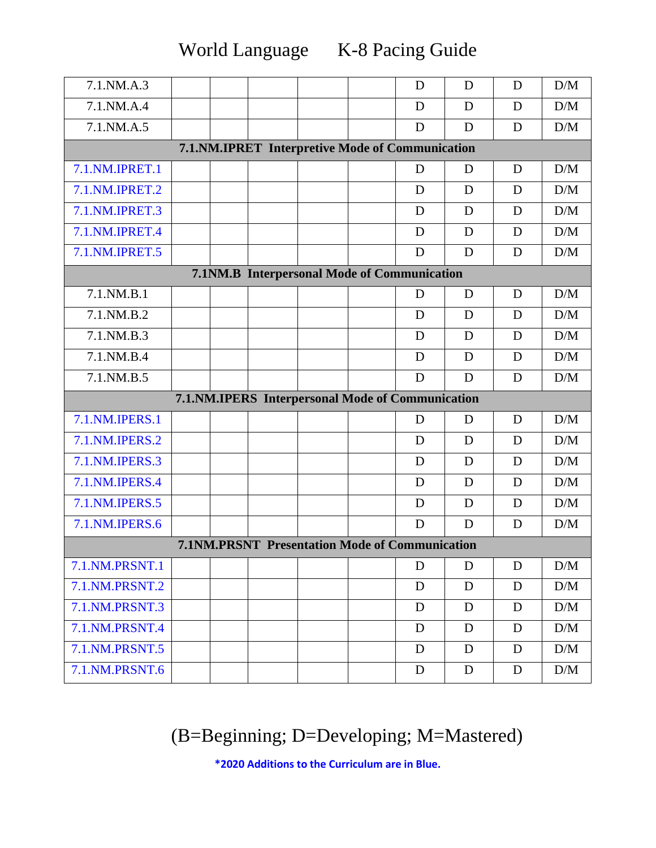World Language K-8 Pacing Guide

| 7.1.NM.A.3                                      |  |  |  |                                                       |  | D | D | D | D/M             |  |
|-------------------------------------------------|--|--|--|-------------------------------------------------------|--|---|---|---|-----------------|--|
| 7.1.NM.A.4                                      |  |  |  |                                                       |  | D | D | D | D/M             |  |
| 7.1.NM.A.5                                      |  |  |  |                                                       |  | D | D | D | D/M             |  |
| 7.1.NM.IPRET Interpretive Mode of Communication |  |  |  |                                                       |  |   |   |   |                 |  |
| 7.1.NM.IPRET.1                                  |  |  |  |                                                       |  | D | D | D | D/M             |  |
| 7.1.NM.IPRET.2                                  |  |  |  |                                                       |  | D | D | D | D/M             |  |
| 7.1.NM.IPRET.3                                  |  |  |  |                                                       |  | D | D | D | D/M             |  |
| 7.1.NM.IPRET.4                                  |  |  |  |                                                       |  | D | D | D | D/M             |  |
| 7.1.NM.IPRET.5                                  |  |  |  |                                                       |  | D | D | D | D/M             |  |
|                                                 |  |  |  | 7.1NM.B Interpersonal Mode of Communication           |  |   |   |   |                 |  |
| 7.1.NM.B.1                                      |  |  |  |                                                       |  | D | D | D | D/M             |  |
| 7.1.NM.B.2                                      |  |  |  |                                                       |  | D | D | D | D/M             |  |
| 7.1.NM.B.3                                      |  |  |  |                                                       |  | D | D | D | D/M             |  |
| 7.1.NM.B.4                                      |  |  |  |                                                       |  | D | D | D | $\rm{D}/\rm{M}$ |  |
| 7.1.NM.B.5                                      |  |  |  |                                                       |  | D | D | D | D/M             |  |
|                                                 |  |  |  | 7.1.NM.IPERS Interpersonal Mode of Communication      |  |   |   |   |                 |  |
| 7.1.NM.IPERS.1                                  |  |  |  |                                                       |  | D | D | D | D/M             |  |
| 7.1.NM.IPERS.2                                  |  |  |  |                                                       |  | D | D | D | D/M             |  |
| 7.1.NM.IPERS.3                                  |  |  |  |                                                       |  | D | D | D | D/M             |  |
| 7.1.NM.IPERS.4                                  |  |  |  |                                                       |  | D | D | D | D/M             |  |
| 7.1.NM.IPERS.5                                  |  |  |  |                                                       |  | D | D | D | D/M             |  |
| 7.1.NM.IPERS.6                                  |  |  |  |                                                       |  | D | D | D | D/M             |  |
|                                                 |  |  |  | <b>7.1NM.PRSNT Presentation Mode of Communication</b> |  |   |   |   |                 |  |
| 7.1.NM.PRSNT.1                                  |  |  |  |                                                       |  | D | D | D | D/M             |  |
| 7.1.NM.PRSNT.2                                  |  |  |  |                                                       |  | D | D | D | D/M             |  |
| 7.1.NM.PRSNT.3                                  |  |  |  |                                                       |  | D | D | D | D/M             |  |
| 7.1.NM.PRSNT.4                                  |  |  |  |                                                       |  | D | D | D | D/M             |  |
| 7.1.NM.PRSNT.5                                  |  |  |  |                                                       |  | D | D | D | D/M             |  |
| 7.1.NM.PRSNT.6                                  |  |  |  |                                                       |  | D | D | D | D/M             |  |

## (B=Beginning; D=Developing; M=Mastered)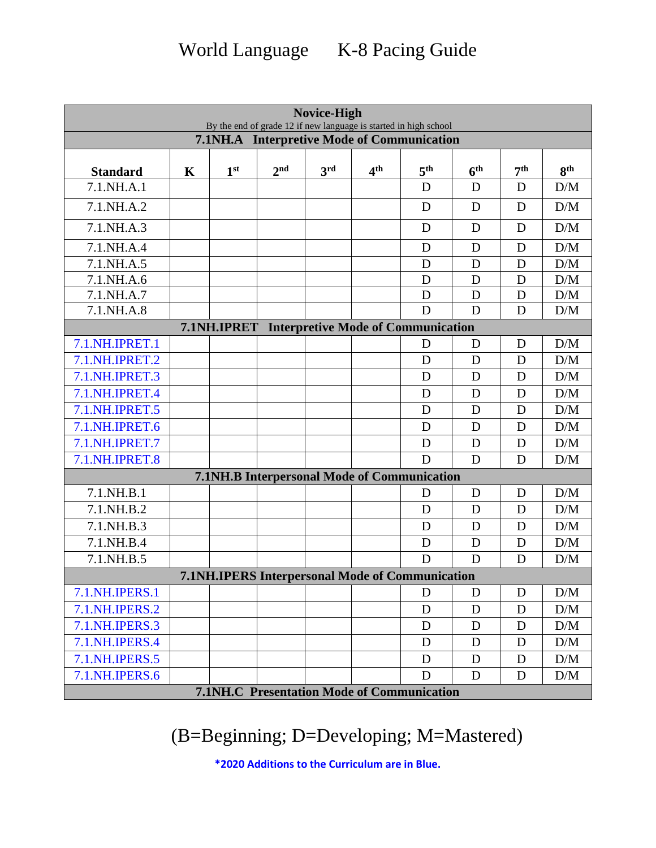World Language K-8 Pacing Guide

| Novice-High<br>By the end of grade 12 if new language is started in high school |             |                 |                                                         |     |                 |                                           |                 |                 |                 |  |
|---------------------------------------------------------------------------------|-------------|-----------------|---------------------------------------------------------|-----|-----------------|-------------------------------------------|-----------------|-----------------|-----------------|--|
| 7.1NH.A Interpretive Mode of Communication                                      |             |                 |                                                         |     |                 |                                           |                 |                 |                 |  |
|                                                                                 |             |                 |                                                         |     |                 |                                           |                 |                 |                 |  |
| <b>Standard</b>                                                                 | $\mathbf K$ | 1 <sup>st</sup> | 2 <sub>nd</sub>                                         | 3rd | 4 <sup>th</sup> | 5 <sup>th</sup>                           | 6 <sup>th</sup> | 7 <sup>th</sup> | 8 <sup>th</sup> |  |
| 7.1.NH.A.1                                                                      |             |                 |                                                         |     |                 | D                                         | D               | D               | D/M             |  |
| 7.1.NH.A.2                                                                      |             |                 |                                                         |     |                 | D                                         | D               | D               | D/M             |  |
| 7.1.NH.A.3                                                                      |             |                 |                                                         |     |                 | D                                         | D               | D               | D/M             |  |
| 7.1.NH.A.4                                                                      |             |                 |                                                         |     |                 | D                                         | D               | D               | D/M             |  |
| 7.1.NH.A.5                                                                      |             |                 |                                                         |     |                 | D                                         | D               | D               | D/M             |  |
| 7.1.NH.A.6                                                                      |             |                 |                                                         |     |                 | D                                         | D               | D               | D/M             |  |
| 7.1.NH.A.7                                                                      |             |                 |                                                         |     |                 | D                                         | D               | D               | D/M             |  |
| 7.1.NH.A.8                                                                      |             |                 |                                                         |     |                 | D                                         | D               | D               | D/M             |  |
|                                                                                 |             | 7.1NH.IPRET     |                                                         |     |                 | <b>Interpretive Mode of Communication</b> |                 |                 |                 |  |
| 7.1.NH.IPRET.1                                                                  |             |                 |                                                         |     |                 | D                                         | D               | D               | D/M             |  |
| 7.1.NH.IPRET.2                                                                  |             |                 |                                                         |     |                 | D                                         | D               | D               | D/M             |  |
| 7.1.NH.IPRET.3                                                                  |             |                 |                                                         |     |                 | D                                         | D               | D               | D/M             |  |
| 7.1.NH.IPRET.4                                                                  |             |                 |                                                         |     |                 | D                                         | D               | D               | D/M             |  |
| 7.1.NH.IPRET.5                                                                  |             |                 |                                                         |     |                 | D                                         | D               | D               | D/M             |  |
| 7.1.NH.IPRET.6                                                                  |             |                 |                                                         |     |                 | D                                         | D               | D               | D/M             |  |
| 7.1.NH.IPRET.7                                                                  |             |                 |                                                         |     |                 | D                                         | D               | D               | D/M             |  |
| 7.1.NH.IPRET.8                                                                  |             |                 |                                                         |     |                 | D                                         | D               | D               | D/M             |  |
|                                                                                 |             |                 | 7.1NH.B Interpersonal Mode of Communication             |     |                 |                                           |                 |                 |                 |  |
| 7.1.NH.B.1                                                                      |             |                 |                                                         |     |                 | D                                         | D               | D               | D/M             |  |
| 7.1.NH.B.2                                                                      |             |                 |                                                         |     |                 | D                                         | D               | D               | D/M             |  |
| 7.1.NH.B.3                                                                      |             |                 |                                                         |     |                 | D                                         | D               | D               | D/M             |  |
| 7.1.NH.B.4                                                                      |             |                 |                                                         |     |                 | D                                         | D               | D               | D/M             |  |
| 7.1.NH.B.5                                                                      |             |                 |                                                         |     |                 | D                                         | D               | D               | D/M             |  |
|                                                                                 |             |                 | <b>7.1NH, IPERS Interpersonal Mode of Communication</b> |     |                 |                                           |                 |                 |                 |  |
| 7.1.NH.IPERS.1                                                                  |             |                 |                                                         |     |                 | D                                         | D               | D               | D/M             |  |
| 7.1.NH.IPERS.2                                                                  |             |                 |                                                         |     |                 | D                                         | D               | D               | D/M             |  |
| 7.1.NH.IPERS.3                                                                  |             |                 |                                                         |     |                 | D                                         | D               | D               | D/M             |  |
| 7.1.NH.IPERS.4                                                                  |             |                 |                                                         |     |                 | $\mathbf D$                               | D               | D               | D/M             |  |
| 7.1.NH.IPERS.5                                                                  |             |                 |                                                         |     |                 | D                                         | D               | D               | D/M             |  |
| 7.1.NH.IPERS.6                                                                  |             |                 |                                                         |     |                 | D                                         | D               | D               | D/M             |  |
|                                                                                 |             |                 | <b>7.1NH.C Presentation Mode of Communication</b>       |     |                 |                                           |                 |                 |                 |  |

(B=Beginning; D=Developing; M=Mastered)